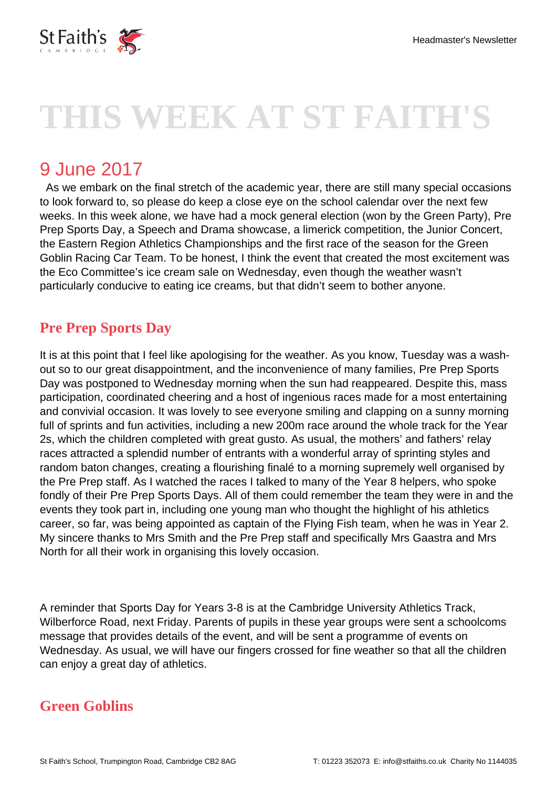

# **THIS WEEK AT ST FAITH'S**

## 9 June 2017

 As we embark on the final stretch of the academic year, there are still many special occasions to look forward to, so please do keep a close eye on the school calendar over the next few weeks. In this week alone, we have had a mock general election (won by the Green Party), Pre Prep Sports Day, a Speech and Drama showcase, a limerick competition, the Junior Concert, the Eastern Region Athletics Championships and the first race of the season for the Green Goblin Racing Car Team. To be honest, I think the event that created the most excitement was the Eco Committee's ice cream sale on Wednesday, even though the weather wasn't particularly conducive to eating ice creams, but that didn't seem to bother anyone.

### **Pre Prep Sports Day**

It is at this point that I feel like apologising for the weather. As you know, Tuesday was a washout so to our great disappointment, and the inconvenience of many families, Pre Prep Sports Day was postponed to Wednesday morning when the sun had reappeared. Despite this, mass participation, coordinated cheering and a host of ingenious races made for a most entertaining and convivial occasion. It was lovely to see everyone smiling and clapping on a sunny morning full of sprints and fun activities, including a new 200m race around the whole track for the Year 2s, which the children completed with great gusto. As usual, the mothers' and fathers' relay races attracted a splendid number of entrants with a wonderful array of sprinting styles and random baton changes, creating a flourishing finalé to a morning supremely well organised by the Pre Prep staff. As I watched the races I talked to many of the Year 8 helpers, who spoke fondly of their Pre Prep Sports Days. All of them could remember the team they were in and the events they took part in, including one young man who thought the highlight of his athletics career, so far, was being appointed as captain of the Flying Fish team, when he was in Year 2. My sincere thanks to Mrs Smith and the Pre Prep staff and specifically Mrs Gaastra and Mrs North for all their work in organising this lovely occasion.

A reminder that Sports Day for Years 3-8 is at the Cambridge University Athletics Track, Wilberforce Road, next Friday. Parents of pupils in these year groups were sent a schoolcoms message that provides details of the event, and will be sent a programme of events on Wednesday. As usual, we will have our fingers crossed for fine weather so that all the children can enjoy a great day of athletics.

### **Green Goblins**